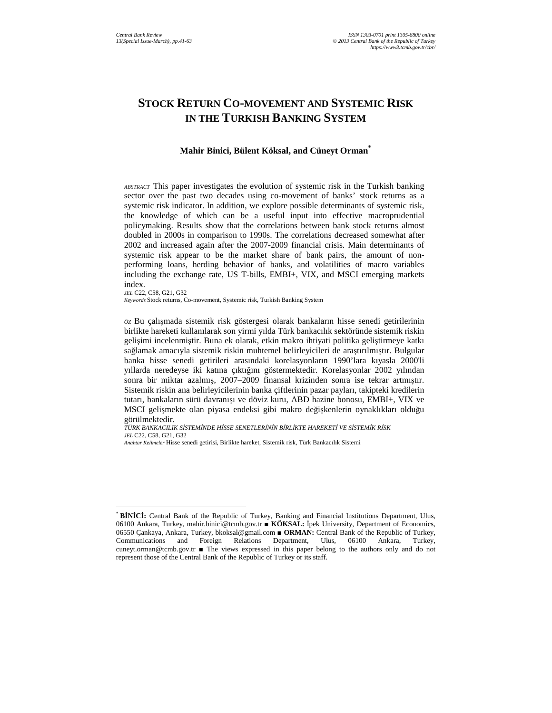# **STOCK RETURN CO-MOVEMENT AND SYSTEMIC RISK IN THE TURKISH BANKING SYSTEM**

#### **Mahir Binici, Bülent Köksal, and Cüneyt Orman\***

*ABSTRACT* This paper investigates the evolution of systemic risk in the Turkish banking sector over the past two decades using co-movement of banks' stock returns as a systemic risk indicator. In addition, we explore possible determinants of systemic risk, the knowledge of which can be a useful input into effective macroprudential policymaking. Results show that the correlations between bank stock returns almost doubled in 2000s in comparison to 1990s. The correlations decreased somewhat after 2002 and increased again after the 2007-2009 financial crisis. Main determinants of systemic risk appear to be the market share of bank pairs, the amount of nonperforming loans, herding behavior of banks, and volatilities of macro variables including the exchange rate, US T-bills, EMBI+, VIX, and MSCI emerging markets index.

 $\overline{a}$ 

*Keywords* Stock returns, Co-movement, Systemic risk, Turkish Banking System

*ÖZ* Bu çalışmada sistemik risk göstergesi olarak bankaların hisse senedi getirilerinin birlikte hareketi kullanılarak son yirmi yılda Türk bankacılık sektöründe sistemik riskin gelişimi incelenmiştir. Buna ek olarak, etkin makro ihtiyati politika geliştirmeye katkı sağlamak amacıyla sistemik riskin muhtemel belirleyicileri de araştırılmıştır. Bulgular banka hisse senedi getirileri arasındaki korelasyonların 1990'lara kıyasla 2000'li yıllarda neredeyse iki katına çıktığını göstermektedir. Korelasyonlar 2002 yılından sonra bir miktar azalmış, 2007–2009 finansal krizinden sonra ise tekrar artmıştır. Sistemik riskin ana belirleyicilerinin banka çiftlerinin pazar payları, takipteki kredilerin tutarı, bankaların sürü davranışı ve döviz kuru, ABD hazine bonosu, EMBI+, VIX ve MSCI gelişmekte olan piyasa endeksi gibi makro değişkenlerin oynaklıkları olduğu görülmektedir.

TÜRK BANKACILIK SİSTEMİNDE HİSSE SENETLERİNİN BİRLİKTE HAREKETİ VE SİSTEMİK RİSK *JEL* C22, C58, G21, G32

*JEL* C22, C58, G21, G32

*Anahtar Kelimeler* Hisse senedi getirisi, Birlikte hareket, Sistemik risk, Türk Bankacılık Sistemi

<sup>\*</sup> **BĐNĐCĐ:** Central Bank of the Republic of Turkey, Banking and Financial Institutions Department, Ulus, 06100 Ankara, Turkey, mahir.binici@tcmb.gov.tr ■ **KÖKSAL:** İpek University, Department of Economics, 06550 Çankaya, Ankara, Turkey, bkoksal@gmail.com ■ **ORMAN:** Central Bank of the Republic of Turkey, Communications and Foreign Relations Department, Ulus, 06100 Ankara, Turkey, cuneyt.orman@tcmb.gov.tr ■ The views expressed in this paper belong to the authors only and do not represent those of the Central Bank of the Republic of Turkey or its staff.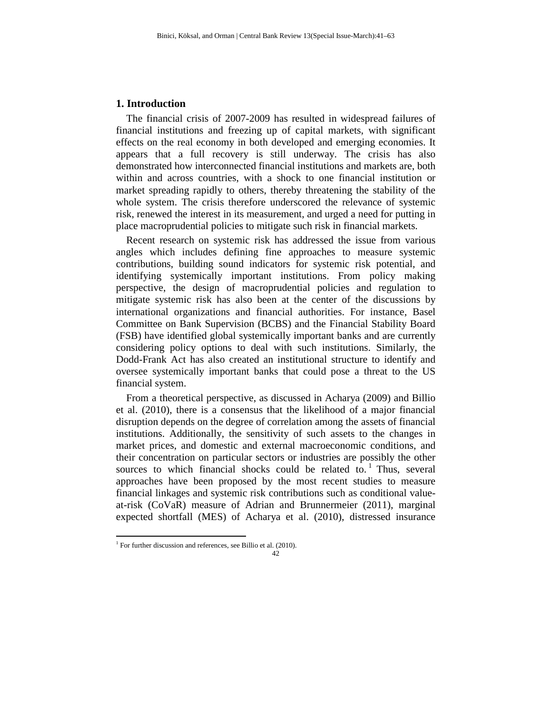# **1. Introduction**

The financial crisis of 2007-2009 has resulted in widespread failures of financial institutions and freezing up of capital markets, with significant effects on the real economy in both developed and emerging economies. It appears that a full recovery is still underway. The crisis has also demonstrated how interconnected financial institutions and markets are, both within and across countries, with a shock to one financial institution or market spreading rapidly to others, thereby threatening the stability of the whole system. The crisis therefore underscored the relevance of systemic risk, renewed the interest in its measurement, and urged a need for putting in place macroprudential policies to mitigate such risk in financial markets.

Recent research on systemic risk has addressed the issue from various angles which includes defining fine approaches to measure systemic contributions, building sound indicators for systemic risk potential, and identifying systemically important institutions. From policy making perspective, the design of macroprudential policies and regulation to mitigate systemic risk has also been at the center of the discussions by international organizations and financial authorities. For instance, Basel Committee on Bank Supervision (BCBS) and the Financial Stability Board (FSB) have identified global systemically important banks and are currently considering policy options to deal with such institutions. Similarly, the Dodd-Frank Act has also created an institutional structure to identify and oversee systemically important banks that could pose a threat to the US financial system.

From a theoretical perspective, as discussed in Acharya (2009) and Billio et al. (2010), there is a consensus that the likelihood of a major financial disruption depends on the degree of correlation among the assets of financial institutions. Additionally, the sensitivity of such assets to the changes in market prices, and domestic and external macroeconomic conditions, and their concentration on particular sectors or industries are possibly the other sources to which financial shocks could be related to.<sup>1</sup> Thus, several approaches have been proposed by the most recent studies to measure financial linkages and systemic risk contributions such as conditional valueat-risk (CoVaR) measure of Adrian and Brunnermeier (2011), marginal expected shortfall (MES) of Acharya et al. (2010), distressed insurance

 $\overline{a}$ 

<sup>&</sup>lt;sup>1</sup> For further discussion and references, see Billio et al. (2010).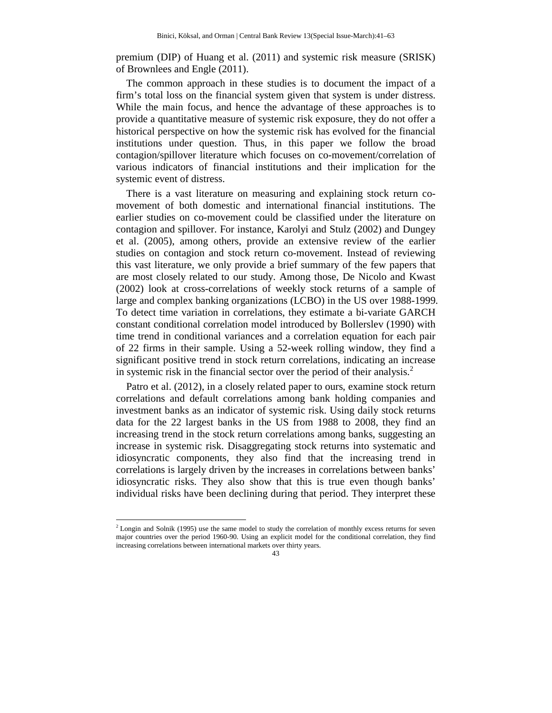premium (DIP) of Huang et al. (2011) and systemic risk measure (SRISK) of Brownlees and Engle (2011).

The common approach in these studies is to document the impact of a firm's total loss on the financial system given that system is under distress. While the main focus, and hence the advantage of these approaches is to provide a quantitative measure of systemic risk exposure, they do not offer a historical perspective on how the systemic risk has evolved for the financial institutions under question. Thus, in this paper we follow the broad contagion/spillover literature which focuses on co-movement/correlation of various indicators of financial institutions and their implication for the systemic event of distress.

There is a vast literature on measuring and explaining stock return comovement of both domestic and international financial institutions. The earlier studies on co-movement could be classified under the literature on contagion and spillover. For instance, Karolyi and Stulz (2002) and Dungey et al. (2005), among others, provide an extensive review of the earlier studies on contagion and stock return co-movement. Instead of reviewing this vast literature, we only provide a brief summary of the few papers that are most closely related to our study. Among those, De Nicolo and Kwast (2002) look at cross-correlations of weekly stock returns of a sample of large and complex banking organizations (LCBO) in the US over 1988-1999. To detect time variation in correlations, they estimate a bi-variate GARCH constant conditional correlation model introduced by Bollerslev (1990) with time trend in conditional variances and a correlation equation for each pair of 22 firms in their sample. Using a 52-week rolling window, they find a significant positive trend in stock return correlations, indicating an increase in systemic risk in the financial sector over the period of their analysis.<sup>2</sup>

Patro et al. (2012), in a closely related paper to ours, examine stock return correlations and default correlations among bank holding companies and investment banks as an indicator of systemic risk. Using daily stock returns data for the 22 largest banks in the US from 1988 to 2008, they find an increasing trend in the stock return correlations among banks, suggesting an increase in systemic risk. Disaggregating stock returns into systematic and idiosyncratic components, they also find that the increasing trend in correlations is largely driven by the increases in correlations between banks' idiosyncratic risks. They also show that this is true even though banks' individual risks have been declining during that period. They interpret these

 $\overline{a}$ 

 $<sup>2</sup>$  Longin and Solnik (1995) use the same model to study the correlation of monthly excess returns for seven</sup> major countries over the period 1960-90. Using an explicit model for the conditional correlation, they find increasing correlations between international markets over thirty years.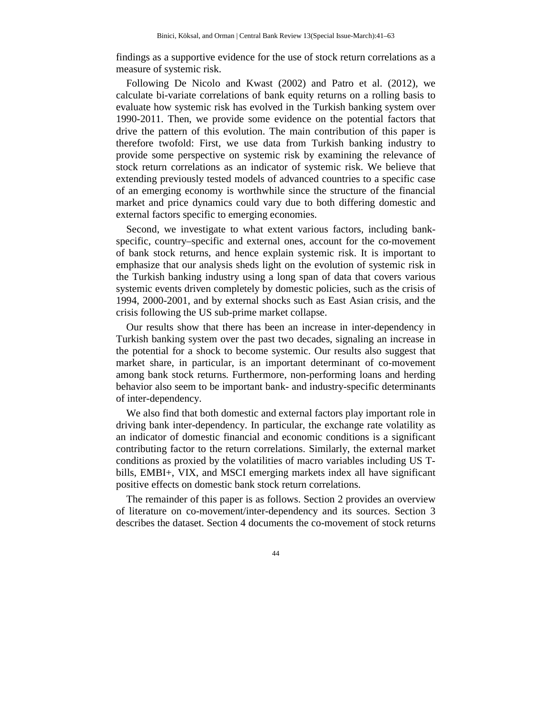findings as a supportive evidence for the use of stock return correlations as a measure of systemic risk.

Following De Nicolo and Kwast (2002) and Patro et al. (2012), we calculate bi-variate correlations of bank equity returns on a rolling basis to evaluate how systemic risk has evolved in the Turkish banking system over 1990-2011. Then, we provide some evidence on the potential factors that drive the pattern of this evolution. The main contribution of this paper is therefore twofold: First, we use data from Turkish banking industry to provide some perspective on systemic risk by examining the relevance of stock return correlations as an indicator of systemic risk. We believe that extending previously tested models of advanced countries to a specific case of an emerging economy is worthwhile since the structure of the financial market and price dynamics could vary due to both differing domestic and external factors specific to emerging economies.

Second, we investigate to what extent various factors, including bankspecific, country–specific and external ones, account for the co-movement of bank stock returns, and hence explain systemic risk. It is important to emphasize that our analysis sheds light on the evolution of systemic risk in the Turkish banking industry using a long span of data that covers various systemic events driven completely by domestic policies, such as the crisis of 1994, 2000-2001, and by external shocks such as East Asian crisis, and the crisis following the US sub-prime market collapse.

Our results show that there has been an increase in inter-dependency in Turkish banking system over the past two decades, signaling an increase in the potential for a shock to become systemic. Our results also suggest that market share, in particular, is an important determinant of co-movement among bank stock returns. Furthermore, non-performing loans and herding behavior also seem to be important bank- and industry-specific determinants of inter-dependency.

We also find that both domestic and external factors play important role in driving bank inter-dependency. In particular, the exchange rate volatility as an indicator of domestic financial and economic conditions is a significant contributing factor to the return correlations. Similarly, the external market conditions as proxied by the volatilities of macro variables including US Tbills, EMBI+, VIX, and MSCI emerging markets index all have significant positive effects on domestic bank stock return correlations.

The remainder of this paper is as follows. Section 2 provides an overview of literature on co-movement/inter-dependency and its sources. Section 3 describes the dataset. Section 4 documents the co-movement of stock returns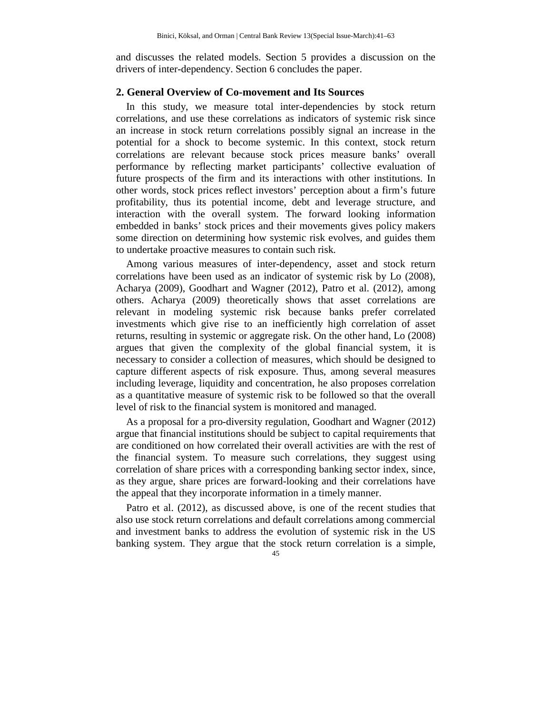and discusses the related models. Section 5 provides a discussion on the drivers of inter-dependency. Section 6 concludes the paper.

### **2. General Overview of Co-movement and Its Sources**

In this study, we measure total inter-dependencies by stock return correlations, and use these correlations as indicators of systemic risk since an increase in stock return correlations possibly signal an increase in the potential for a shock to become systemic. In this context, stock return correlations are relevant because stock prices measure banks' overall performance by reflecting market participants' collective evaluation of future prospects of the firm and its interactions with other institutions. In other words, stock prices reflect investors' perception about a firm's future profitability, thus its potential income, debt and leverage structure, and interaction with the overall system. The forward looking information embedded in banks' stock prices and their movements gives policy makers some direction on determining how systemic risk evolves, and guides them to undertake proactive measures to contain such risk.

Among various measures of inter-dependency, asset and stock return correlations have been used as an indicator of systemic risk by Lo (2008), Acharya (2009), Goodhart and Wagner (2012), Patro et al. (2012), among others. Acharya (2009) theoretically shows that asset correlations are relevant in modeling systemic risk because banks prefer correlated investments which give rise to an inefficiently high correlation of asset returns, resulting in systemic or aggregate risk. On the other hand, Lo (2008) argues that given the complexity of the global financial system, it is necessary to consider a collection of measures, which should be designed to capture different aspects of risk exposure. Thus, among several measures including leverage, liquidity and concentration, he also proposes correlation as a quantitative measure of systemic risk to be followed so that the overall level of risk to the financial system is monitored and managed.

As a proposal for a pro-diversity regulation, Goodhart and Wagner (2012) argue that financial institutions should be subject to capital requirements that are conditioned on how correlated their overall activities are with the rest of the financial system. To measure such correlations, they suggest using correlation of share prices with a corresponding banking sector index, since, as they argue, share prices are forward-looking and their correlations have the appeal that they incorporate information in a timely manner.

Patro et al. (2012), as discussed above, is one of the recent studies that also use stock return correlations and default correlations among commercial and investment banks to address the evolution of systemic risk in the US banking system. They argue that the stock return correlation is a simple,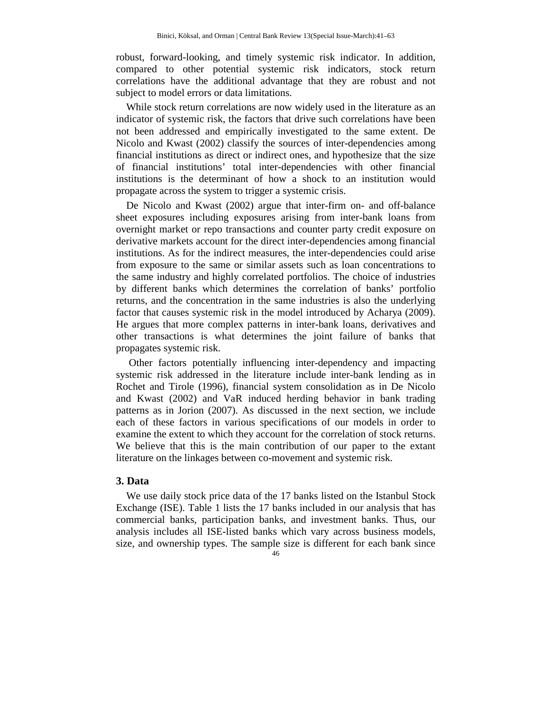robust, forward-looking, and timely systemic risk indicator. In addition, compared to other potential systemic risk indicators, stock return correlations have the additional advantage that they are robust and not subject to model errors or data limitations.

While stock return correlations are now widely used in the literature as an indicator of systemic risk, the factors that drive such correlations have been not been addressed and empirically investigated to the same extent. De Nicolo and Kwast (2002) classify the sources of inter-dependencies among financial institutions as direct or indirect ones, and hypothesize that the size of financial institutions' total inter-dependencies with other financial institutions is the determinant of how a shock to an institution would propagate across the system to trigger a systemic crisis.

De Nicolo and Kwast (2002) argue that inter-firm on- and off-balance sheet exposures including exposures arising from inter-bank loans from overnight market or repo transactions and counter party credit exposure on derivative markets account for the direct inter-dependencies among financial institutions. As for the indirect measures, the inter-dependencies could arise from exposure to the same or similar assets such as loan concentrations to the same industry and highly correlated portfolios. The choice of industries by different banks which determines the correlation of banks' portfolio returns, and the concentration in the same industries is also the underlying factor that causes systemic risk in the model introduced by Acharya (2009). He argues that more complex patterns in inter-bank loans, derivatives and other transactions is what determines the joint failure of banks that propagates systemic risk.

 Other factors potentially influencing inter-dependency and impacting systemic risk addressed in the literature include inter-bank lending as in Rochet and Tirole (1996), financial system consolidation as in De Nicolo and Kwast (2002) and VaR induced herding behavior in bank trading patterns as in Jorion (2007). As discussed in the next section, we include each of these factors in various specifications of our models in order to examine the extent to which they account for the correlation of stock returns. We believe that this is the main contribution of our paper to the extant literature on the linkages between co-movement and systemic risk.

### **3. Data**

We use daily stock price data of the 17 banks listed on the Istanbul Stock Exchange (ISE). Table 1 lists the 17 banks included in our analysis that has commercial banks, participation banks, and investment banks. Thus, our analysis includes all ISE-listed banks which vary across business models, size, and ownership types. The sample size is different for each bank since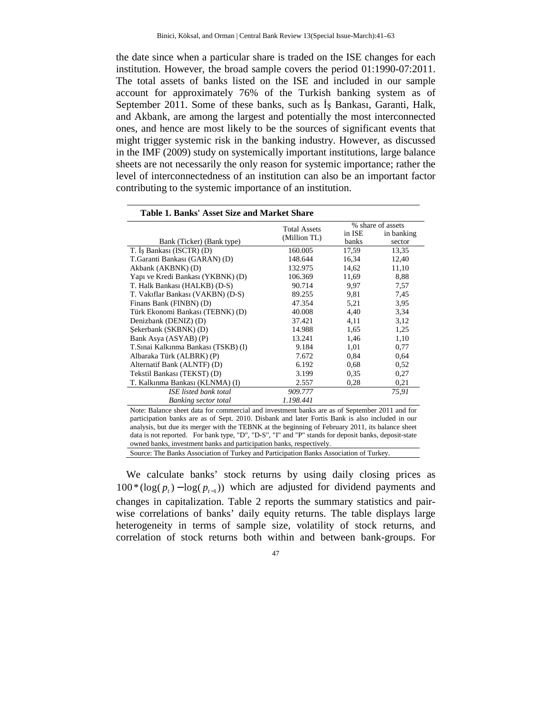the date since when a particular share is traded on the ISE changes for each institution. However, the broad sample covers the period 01:1990-07:2011. The total assets of banks listed on the ISE and included in our sample account for approximately 76% of the Turkish banking system as of September 2011. Some of these banks, such as Is Bankası, Garanti, Halk, and Akbank, are among the largest and potentially the most interconnected ones, and hence are most likely to be the sources of significant events that might trigger systemic risk in the banking industry. However, as discussed in the IMF (2009) study on systemically important institutions, large balance sheets are not necessarily the only reason for systemic importance; rather the level of interconnectedness of an institution can also be an important factor contributing to the systemic importance of an institution.

| Table 1. Banks' Asset Size and Market Share                                                                                                           |                     |                                                     |                   |
|-------------------------------------------------------------------------------------------------------------------------------------------------------|---------------------|-----------------------------------------------------|-------------------|
|                                                                                                                                                       | <b>Total Assets</b> |                                                     | % share of assets |
|                                                                                                                                                       | (Million TL)        | in ISE                                              | in banking        |
| Bank (Ticker) (Bank type)                                                                                                                             |                     | banks                                               | sector            |
| T. Is Bankası (ISCTR) (D)                                                                                                                             | 160.005             | 17,59                                               | 13,35             |
| T.Garanti Bankası (GARAN) (D)                                                                                                                         | 148.644             | 16,34                                               | 12,40             |
| Akbank (AKBNK) (D)                                                                                                                                    | 132.975             | 14,62                                               | 11,10             |
| Yapı ve Kredi Bankası (YKBNK) (D)                                                                                                                     | 106.369             | 11,69                                               | 8,88              |
| T. Halk Bankası (HALKB) (D-S)                                                                                                                         | 90.714              | 9,97                                                | 7,57              |
| T. Vakiflar Bankası (VAKBN) (D-S)                                                                                                                     | 89.255              | 9,81                                                | 7,45              |
| Finans Bank (FINBN) (D)                                                                                                                               | 47.354              | 5,21                                                | 3,95              |
| Türk Ekonomi Bankası (TEBNK) (D)                                                                                                                      | 40.008              | 4,40                                                | 3,34              |
| Denizbank (DENIZ) (D)                                                                                                                                 | 37.421              | 4,11                                                | 3,12              |
| Sekerbank (SKBNK) (D)                                                                                                                                 | 14.988              | 1,65                                                | 1,25              |
| Bank Asya (ASYAB) (P)                                                                                                                                 | 13.241              | 1,46                                                | 1,10              |
| T.Sinai Kalkinma Bankası (TSKB) (I)                                                                                                                   | 9.184               | 1,01                                                | 0,77              |
| Albaraka Türk (ALBRK) (P)                                                                                                                             | 7.672               | 0.84                                                | 0.64              |
| Alternatif Bank (ALNTF) (D)                                                                                                                           | 6.192               | 0.68                                                | 0,52              |
| Tekstil Bankası (TEKST) (D)                                                                                                                           | 3.199               | 0.35                                                | 0,27              |
| T. Kalkınma Bankası (KLNMA) (I)                                                                                                                       | 2.557               | 0.28                                                | 0,21              |
| <b>ISE</b> listed bank total                                                                                                                          | 909,777             |                                                     | 75,91             |
| <b>Banking sector total</b>                                                                                                                           | 1.198.441           |                                                     |                   |
| $\cdot$ $\cdot$<br>$\cdots$<br>$\mathbf{v}$ $\mathbf{v}$ $\mathbf{v}$ $\mathbf{v}$<br>$\mathbf{1}$ and $\mathbf{1}$ and $\mathbf{1}$ and $\mathbf{1}$ | $\cdot$ 1 1         | $\mathbf{c}$ $\mathbf{a}$ $\mathbf{a}$ $\mathbf{b}$ | $\sim$<br>0.011   |

Note: Balance sheet data for commercial and investment banks are as of September 2011 and for participation banks are as of Sept. 2010. Disbank and later Fortis Bank is also included in our analysis, but due its merger with the TEBNK at the beginning of February 2011, its balance sheet data is not reported. For bank type, "D", "D-S", "I" and "P" stands for deposit banks, deposit-state owned banks, investment banks and participation banks, respectively.

Source: The Banks Association of Turkey and Participation Banks Association of Turkey.

We calculate banks' stock returns by using daily closing prices as  $100*(\log(p_t) - \log(p_{t-1}))$  which are adjusted for dividend payments and changes in capitalization. Table 2 reports the summary statistics and pairwise correlations of banks' daily equity returns. The table displays large heterogeneity in terms of sample size, volatility of stock returns, and correlation of stock returns both within and between bank-groups. For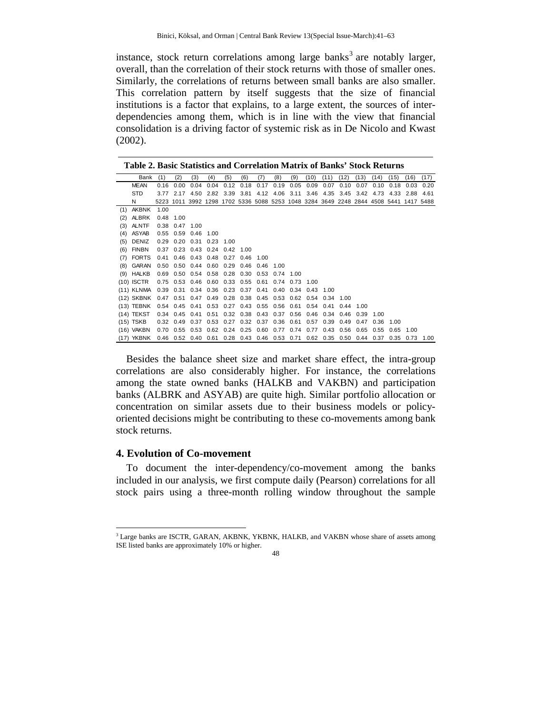instance, stock return correlations among large banks<sup>3</sup> are notably larger, overall, than the correlation of their stock returns with those of smaller ones. Similarly, the correlations of returns between small banks are also smaller. This correlation pattern by itself suggests that the size of financial institutions is a factor that explains, to a large extent, the sources of interdependencies among them, which is in line with the view that financial consolidation is a driving factor of systemic risk as in De Nicolo and Kwast (2002).

**Table 2. Basic Statistics and Correlation Matrix of Banks' Stock Returns** 

| (2)<br>(6)<br>(8)<br>(9)<br>Bank<br>(1)<br>(3)<br>(5)<br>(7)<br>(10)<br>(16)<br>(4)<br>(11)<br>(12)<br>(13)<br>(15)<br>(14)<br>0.04<br>0.04<br>0.12<br>0.18<br>0.17<br>0.19<br>0.05<br>0.09<br>0.07<br>0.10<br>0.07<br>0.10<br>0.18<br>0.03<br><b>MEAN</b><br>0.16<br>0.00<br><b>STD</b><br>4.50 2.82 3.39<br>3.81<br>4.12 4.06 3.11<br>3.46 4.35<br>3.45<br>3.77 2.17<br>3.42 4.73<br>4.33<br>2.88<br>5223 1011 3992 1298 1702 5336 5088 5253 1048 3284 3649 2248 2844 4508 5441 1417 5488<br>N<br>AKBNK<br>1.00<br>(1)<br><b>ALBRK</b><br>0.48 1.00<br>(2)<br>ALNTF<br>0.38 0.47 1.00<br>(3)<br>$0.55$ 0.59 0.46<br>ASYAB<br>- 1.00<br>(4)<br>0.29 0.20 0.31 0.23 1.00<br>DENIZ<br>(5)<br><b>FINBN</b><br>0.37 0.23 0.43 0.24 0.42 1.00<br>(6)<br><b>FORTS</b><br>0.46 0.43 0.48 0.27 0.46<br>(7)<br>0.41<br>1.00<br>GARAN<br>0.50 0.50 0.44 0.60<br>0.29<br>0.46<br>(8)<br>0.46<br>1.00<br>0.69 0.50 0.54 0.58 0.28 0.30<br>0.53 0.74 1.00<br>$(9)$ HALKB<br>0.75 0.53 0.46 0.60 0.33 0.55<br>$(10)$ ISCTR<br>0.61<br>0.74 0.73 1.00<br>(11) KLNMA  0.39  0.31  0.34  0.36  0.23  0.37  0.41<br>$0.40$ $0.34$ $0.43$ 1.00<br>0.38 0.45 0.53 0.62<br>0.47 0.51 0.47 0.49 0.28<br>(12) SKBNK<br>0.54<br>0.34<br>-1.00<br>0.54 0.45 0.41 0.53 0.27 0.43 0.55 0.56<br>$(13)$ TEBNK<br>0.61<br>0.54<br>0.41<br>0.44<br>1.00<br>0.34 0.45 0.41 0.51 0.32 0.38 0.43 0.37 0.56 0.46 0.34 0.46<br>$(14)$ TEKST<br>0.39<br>- 1.00<br>$(15)$ TSKB<br>0.32 0.49 0.37 0.53 0.27 0.32 0.37 0.36 0.61<br>0.57<br>0.39<br>0.49<br>0.47<br>0.36<br>1.00<br>(16) VAKBN<br>0.70  0.55  0.53  0.62  0.24  0.25  0.60  0.77  0.74  0.77<br>0.43<br>0.56<br>0.65<br>0.55<br>0.65<br>1.00<br>0.46 0.52 0.40 0.61 0.28 0.43 0.46 0.53 0.71 0.62 0.35 |            |  |  |  |  |  |      |      |      |      |      |      |
|---------------------------------------------------------------------------------------------------------------------------------------------------------------------------------------------------------------------------------------------------------------------------------------------------------------------------------------------------------------------------------------------------------------------------------------------------------------------------------------------------------------------------------------------------------------------------------------------------------------------------------------------------------------------------------------------------------------------------------------------------------------------------------------------------------------------------------------------------------------------------------------------------------------------------------------------------------------------------------------------------------------------------------------------------------------------------------------------------------------------------------------------------------------------------------------------------------------------------------------------------------------------------------------------------------------------------------------------------------------------------------------------------------------------------------------------------------------------------------------------------------------------------------------------------------------------------------------------------------------------------------------------------------------------------------------------------------------------------------|------------|--|--|--|--|--|------|------|------|------|------|------|
|                                                                                                                                                                                                                                                                                                                                                                                                                                                                                                                                                                                                                                                                                                                                                                                                                                                                                                                                                                                                                                                                                                                                                                                                                                                                                                                                                                                                                                                                                                                                                                                                                                                                                                                                 |            |  |  |  |  |  |      |      |      |      |      | (17) |
|                                                                                                                                                                                                                                                                                                                                                                                                                                                                                                                                                                                                                                                                                                                                                                                                                                                                                                                                                                                                                                                                                                                                                                                                                                                                                                                                                                                                                                                                                                                                                                                                                                                                                                                                 |            |  |  |  |  |  |      |      |      |      |      | 0.20 |
|                                                                                                                                                                                                                                                                                                                                                                                                                                                                                                                                                                                                                                                                                                                                                                                                                                                                                                                                                                                                                                                                                                                                                                                                                                                                                                                                                                                                                                                                                                                                                                                                                                                                                                                                 |            |  |  |  |  |  |      |      |      |      |      | 4.61 |
|                                                                                                                                                                                                                                                                                                                                                                                                                                                                                                                                                                                                                                                                                                                                                                                                                                                                                                                                                                                                                                                                                                                                                                                                                                                                                                                                                                                                                                                                                                                                                                                                                                                                                                                                 |            |  |  |  |  |  |      |      |      |      |      |      |
|                                                                                                                                                                                                                                                                                                                                                                                                                                                                                                                                                                                                                                                                                                                                                                                                                                                                                                                                                                                                                                                                                                                                                                                                                                                                                                                                                                                                                                                                                                                                                                                                                                                                                                                                 |            |  |  |  |  |  |      |      |      |      |      |      |
|                                                                                                                                                                                                                                                                                                                                                                                                                                                                                                                                                                                                                                                                                                                                                                                                                                                                                                                                                                                                                                                                                                                                                                                                                                                                                                                                                                                                                                                                                                                                                                                                                                                                                                                                 |            |  |  |  |  |  |      |      |      |      |      |      |
|                                                                                                                                                                                                                                                                                                                                                                                                                                                                                                                                                                                                                                                                                                                                                                                                                                                                                                                                                                                                                                                                                                                                                                                                                                                                                                                                                                                                                                                                                                                                                                                                                                                                                                                                 |            |  |  |  |  |  |      |      |      |      |      |      |
|                                                                                                                                                                                                                                                                                                                                                                                                                                                                                                                                                                                                                                                                                                                                                                                                                                                                                                                                                                                                                                                                                                                                                                                                                                                                                                                                                                                                                                                                                                                                                                                                                                                                                                                                 |            |  |  |  |  |  |      |      |      |      |      |      |
|                                                                                                                                                                                                                                                                                                                                                                                                                                                                                                                                                                                                                                                                                                                                                                                                                                                                                                                                                                                                                                                                                                                                                                                                                                                                                                                                                                                                                                                                                                                                                                                                                                                                                                                                 |            |  |  |  |  |  |      |      |      |      |      |      |
|                                                                                                                                                                                                                                                                                                                                                                                                                                                                                                                                                                                                                                                                                                                                                                                                                                                                                                                                                                                                                                                                                                                                                                                                                                                                                                                                                                                                                                                                                                                                                                                                                                                                                                                                 |            |  |  |  |  |  |      |      |      |      |      |      |
|                                                                                                                                                                                                                                                                                                                                                                                                                                                                                                                                                                                                                                                                                                                                                                                                                                                                                                                                                                                                                                                                                                                                                                                                                                                                                                                                                                                                                                                                                                                                                                                                                                                                                                                                 |            |  |  |  |  |  |      |      |      |      |      |      |
|                                                                                                                                                                                                                                                                                                                                                                                                                                                                                                                                                                                                                                                                                                                                                                                                                                                                                                                                                                                                                                                                                                                                                                                                                                                                                                                                                                                                                                                                                                                                                                                                                                                                                                                                 |            |  |  |  |  |  |      |      |      |      |      |      |
|                                                                                                                                                                                                                                                                                                                                                                                                                                                                                                                                                                                                                                                                                                                                                                                                                                                                                                                                                                                                                                                                                                                                                                                                                                                                                                                                                                                                                                                                                                                                                                                                                                                                                                                                 |            |  |  |  |  |  |      |      |      |      |      |      |
|                                                                                                                                                                                                                                                                                                                                                                                                                                                                                                                                                                                                                                                                                                                                                                                                                                                                                                                                                                                                                                                                                                                                                                                                                                                                                                                                                                                                                                                                                                                                                                                                                                                                                                                                 |            |  |  |  |  |  |      |      |      |      |      |      |
|                                                                                                                                                                                                                                                                                                                                                                                                                                                                                                                                                                                                                                                                                                                                                                                                                                                                                                                                                                                                                                                                                                                                                                                                                                                                                                                                                                                                                                                                                                                                                                                                                                                                                                                                 |            |  |  |  |  |  |      |      |      |      |      |      |
|                                                                                                                                                                                                                                                                                                                                                                                                                                                                                                                                                                                                                                                                                                                                                                                                                                                                                                                                                                                                                                                                                                                                                                                                                                                                                                                                                                                                                                                                                                                                                                                                                                                                                                                                 |            |  |  |  |  |  |      |      |      |      |      |      |
|                                                                                                                                                                                                                                                                                                                                                                                                                                                                                                                                                                                                                                                                                                                                                                                                                                                                                                                                                                                                                                                                                                                                                                                                                                                                                                                                                                                                                                                                                                                                                                                                                                                                                                                                 |            |  |  |  |  |  |      |      |      |      |      |      |
|                                                                                                                                                                                                                                                                                                                                                                                                                                                                                                                                                                                                                                                                                                                                                                                                                                                                                                                                                                                                                                                                                                                                                                                                                                                                                                                                                                                                                                                                                                                                                                                                                                                                                                                                 |            |  |  |  |  |  |      |      |      |      |      |      |
|                                                                                                                                                                                                                                                                                                                                                                                                                                                                                                                                                                                                                                                                                                                                                                                                                                                                                                                                                                                                                                                                                                                                                                                                                                                                                                                                                                                                                                                                                                                                                                                                                                                                                                                                 |            |  |  |  |  |  |      |      |      |      |      |      |
|                                                                                                                                                                                                                                                                                                                                                                                                                                                                                                                                                                                                                                                                                                                                                                                                                                                                                                                                                                                                                                                                                                                                                                                                                                                                                                                                                                                                                                                                                                                                                                                                                                                                                                                                 |            |  |  |  |  |  |      |      |      |      |      |      |
|                                                                                                                                                                                                                                                                                                                                                                                                                                                                                                                                                                                                                                                                                                                                                                                                                                                                                                                                                                                                                                                                                                                                                                                                                                                                                                                                                                                                                                                                                                                                                                                                                                                                                                                                 | (17) YKBNK |  |  |  |  |  | 0.50 | 0.44 | 0.37 | 0.35 | 0.73 | 1.00 |

Besides the balance sheet size and market share effect, the intra-group correlations are also considerably higher. For instance, the correlations among the state owned banks (HALKB and VAKBN) and participation banks (ALBRK and ASYAB) are quite high. Similar portfolio allocation or concentration on similar assets due to their business models or policyoriented decisions might be contributing to these co-movements among bank stock returns.

#### **4. Evolution of Co-movement**

l

To document the inter-dependency/co-movement among the banks included in our analysis, we first compute daily (Pearson) correlations for all stock pairs using a three-month rolling window throughout the sample

<sup>&</sup>lt;sup>3</sup> Large banks are ISCTR, GARAN, AKBNK, YKBNK, HALKB, and VAKBN whose share of assets among ISE listed banks are approximately 10% or higher.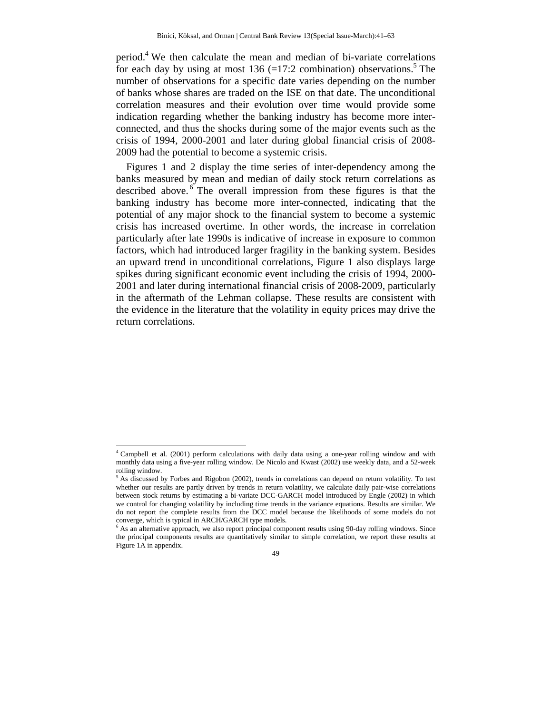period.<sup>4</sup> We then calculate the mean and median of bi-variate correlations for each day by using at most  $136$  (=17:2 combination) observations.<sup>5</sup> The number of observations for a specific date varies depending on the number of banks whose shares are traded on the ISE on that date. The unconditional correlation measures and their evolution over time would provide some indication regarding whether the banking industry has become more interconnected, and thus the shocks during some of the major events such as the crisis of 1994, 2000-2001 and later during global financial crisis of 2008- 2009 had the potential to become a systemic crisis.

Figures 1 and 2 display the time series of inter-dependency among the banks measured by mean and median of daily stock return correlations as described above.  $6$  The overall impression from these figures is that the banking industry has become more inter-connected, indicating that the potential of any major shock to the financial system to become a systemic crisis has increased overtime. In other words, the increase in correlation particularly after late 1990s is indicative of increase in exposure to common factors, which had introduced larger fragility in the banking system. Besides an upward trend in unconditional correlations, Figure 1 also displays large spikes during significant economic event including the crisis of 1994, 2000- 2001 and later during international financial crisis of 2008-2009, particularly in the aftermath of the Lehman collapse. These results are consistent with the evidence in the literature that the volatility in equity prices may drive the return correlations.

 $\overline{a}$ 

<sup>&</sup>lt;sup>6</sup> As an alternative approach, we also report principal component results using 90-day rolling windows. Since the principal components results are quantitatively similar to simple correlation, we report these results at Figure 1A in appendix.



<sup>4</sup> Campbell et al. (2001) perform calculations with daily data using a one-year rolling window and with monthly data using a five-year rolling window. De Nicolo and Kwast (2002) use weekly data, and a 52-week rolling window.

<sup>5</sup> As discussed by Forbes and Rigobon (2002), trends in correlations can depend on return volatility. To test whether our results are partly driven by trends in return volatility, we calculate daily pair-wise correlations between stock returns by estimating a bi-variate DCC-GARCH model introduced by Engle (2002) in which we control for changing volatility by including time trends in the variance equations. Results are similar. We do not report the complete results from the DCC model because the likelihoods of some models do not converge, which is typical in ARCH/GARCH type models.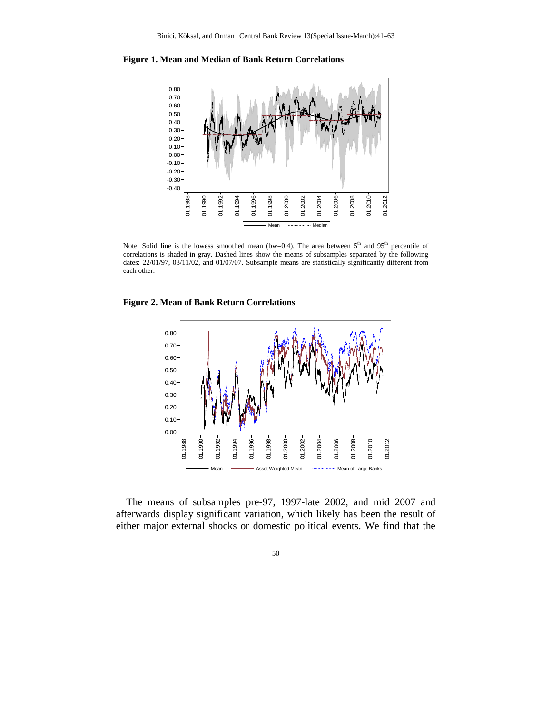



Note: Solid line is the lowess smoothed mean (bw=0.4). The area between  $5<sup>th</sup>$  and  $95<sup>th</sup>$  percentile of correlations is shaded in gray. Dashed lines show the means of subsamples separated by the following dates: 22/01/97, 03/11/02, and 01/07/07. Subsample means are statistically significantly different from each other.





The means of subsamples pre-97, 1997-late 2002, and mid 2007 and afterwards display significant variation, which likely has been the result of either major external shocks or domestic political events. We find that the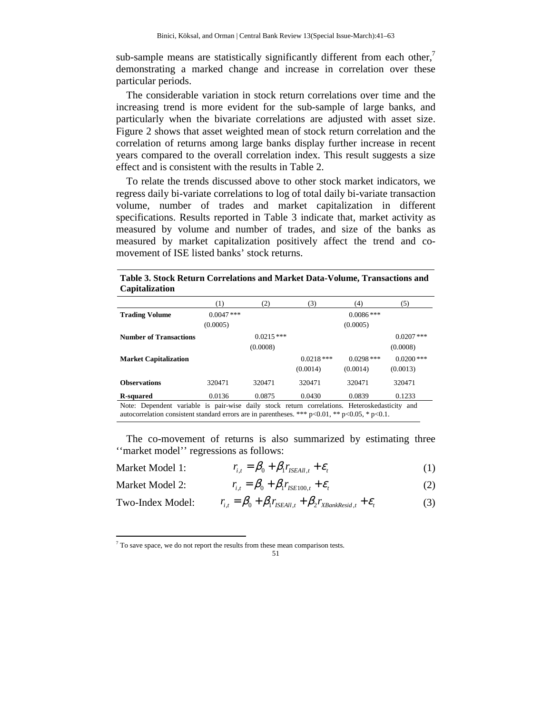sub-sample means are statistically significantly different from each other, $\prime$ demonstrating a marked change and increase in correlation over these particular periods.

The considerable variation in stock return correlations over time and the increasing trend is more evident for the sub-sample of large banks, and particularly when the bivariate correlations are adjusted with asset size. Figure 2 shows that asset weighted mean of stock return correlation and the correlation of returns among large banks display further increase in recent years compared to the overall correlation index. This result suggests a size effect and is consistent with the results in Table 2.

To relate the trends discussed above to other stock market indicators, we regress daily bi-variate correlations to log of total daily bi-variate transaction volume, number of trades and market capitalization in different specifications. Results reported in Table 3 indicate that, market activity as measured by volume and number of trades, and size of the banks as measured by market capitalization positively affect the trend and comovement of ISE listed banks' stock returns.

**Table 3. Stock Return Correlations and Market Data-Volume, Transactions and Capitalization** 

|                                                                                               | $\left(1\right)$ | (2)         | (3)          | (4)          | (5)          |
|-----------------------------------------------------------------------------------------------|------------------|-------------|--------------|--------------|--------------|
| <b>Trading Volume</b>                                                                         | $0.0047$ ***     |             |              | $0.0086$ *** |              |
|                                                                                               | (0.0005)         |             |              | (0.0005)     |              |
| <b>Number of Transactions</b>                                                                 |                  | $0.0215***$ |              |              | $0.0207$ *** |
|                                                                                               |                  | (0.0008)    |              |              | (0.0008)     |
| <b>Market Capitalization</b>                                                                  |                  |             | $0.0218$ *** | $0.0298$ *** | $0.0200$ *** |
|                                                                                               |                  |             | (0.0014)     | (0.0014)     | (0.0013)     |
| <b>Observations</b>                                                                           | 320471           | 320471      | 320471       | 320471       | 320471       |
| R-squared                                                                                     | 0.0136           | 0.0875      | 0.0430       | 0.0839       | 0.1233       |
| Note: Dependent variable is pair-wise daily stock return correlations. Heteroskedasticity and |                  |             |              |              |              |

noent variable is pair-wise daily stock return correlations. Heteroske autocorrelation consistent standard errors are in parentheses. \*\*\* p<0.01, \*\* p<0.05, \* p<0.1.

The co-movement of returns is also summarized by estimating three ''market model'' regressions as follows:

| Market Model 1: | $r_{i,t} = \beta_0 + \beta_1 r_{ISEAll,t} + \varepsilon_t$ |  |
|-----------------|------------------------------------------------------------|--|
|                 |                                                            |  |

Market Model 2: 
$$
r_{i,t} = \beta_0 + \beta_1 r_{ISE100,t} + \varepsilon_t
$$
 (2)

Two-Index Model: 
$$
r_{i,t} = \beta_0 + \beta_1 r_{\text{ISEAll},t} + \beta_2 r_{\text{XBankResid},t} + \varepsilon_t
$$
 (3)

 $\overline{a}$ 

 $7$  To save space, we do not report the results from these mean comparison tests.

<sup>51</sup>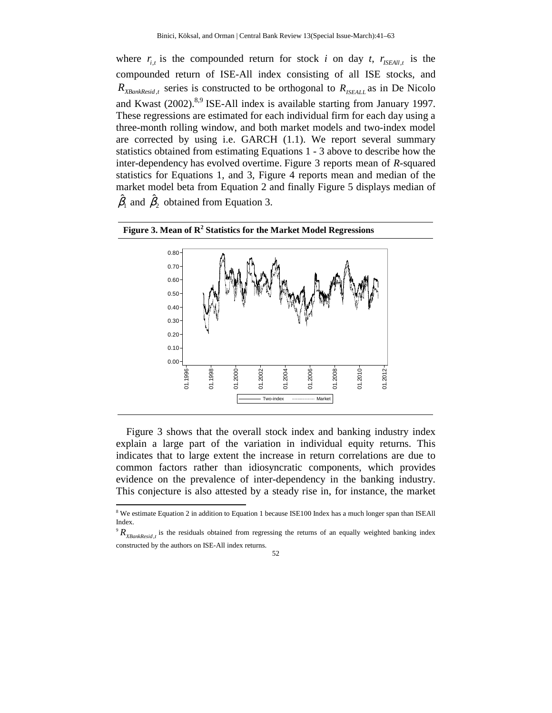where  $r_{i,t}$  is the compounded return for stock *i* on day *t*,  $r_{\text{ISEAll},t}$  is the compounded return of ISE-All index consisting of all ISE stocks, and  $R_{\text{XBankResid},t}$  series is constructed to be orthogonal to  $R_{\text{ISEALL}}$  as in De Nicolo and Kwast  $(2002)^{8,9}$  ISE-All index is available starting from January 1997. These regressions are estimated for each individual firm for each day using a three-month rolling window, and both market models and two-index model are corrected by using i.e. GARCH (1.1). We report several summary statistics obtained from estimating Equations 1 - 3 above to describe how the inter-dependency has evolved overtime. Figure 3 reports mean of *R*-squared statistics for Equations 1, and 3, Figure 4 reports mean and median of the market model beta from Equation 2 and finally Figure 5 displays median of  $\hat{\beta}_1$  and  $\hat{\beta}_2$  obtained from Equation 3.



### **Figure 3. Mean of R<sup>2</sup> Statistics for the Market Model Regressions**

Figure 3 shows that the overall stock index and banking industry index explain a large part of the variation in individual equity returns. This indicates that to large extent the increase in return correlations are due to common factors rather than idiosyncratic components, which provides evidence on the prevalence of inter-dependency in the banking industry. This conjecture is also attested by a steady rise in, for instance, the market

 $\overline{a}$ 

<sup>&</sup>lt;sup>8</sup> We estimate Equation 2 in addition to Equation 1 because ISE100 Index has a much longer span than ISEAll Index.

 $R_{XBankResid,t}$  is the residuals obtained from regressing the returns of an equally weighted banking index constructed by the authors on ISE-All index returns.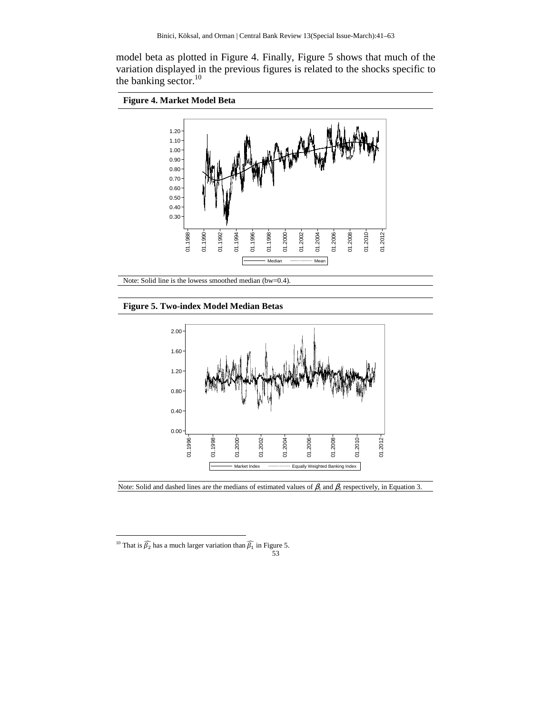model beta as plotted in Figure 4. Finally, Figure 5 shows that much of the variation displayed in the previous figures is related to the shocks specific to the banking sector.<sup>10</sup>





Note: Solid line is the lowess smoothed median (bw=0.4).

#### **Figure 5. Two-index Model Median Betas**



Note: Solid and dashed lines are the medians of estimated values of  $\beta_1$  and  $\beta_2$  respectively, in Equation 3.

l

<sup>&</sup>lt;sup>10</sup> That is  $\widehat{\beta_2}$  has a much larger variation than  $\widehat{\beta_1}$  in Figure 5.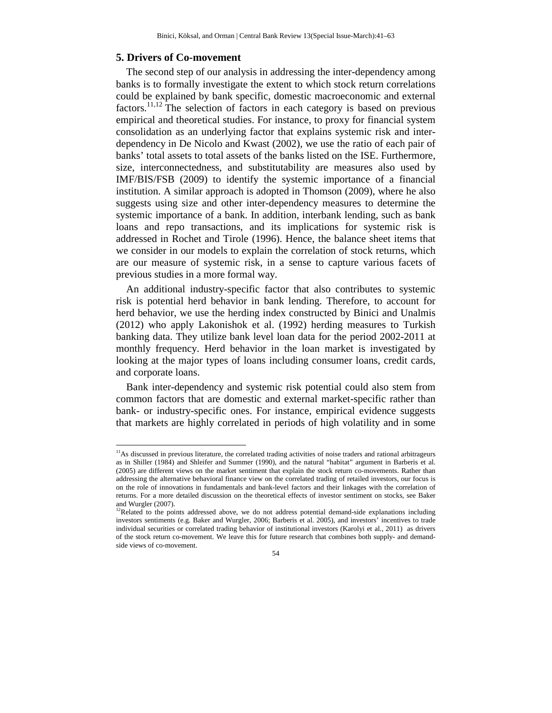#### **5. Drivers of Co-movement**

 $\overline{a}$ 

The second step of our analysis in addressing the inter-dependency among banks is to formally investigate the extent to which stock return correlations could be explained by bank specific, domestic macroeconomic and external factors.<sup>11,12</sup> The selection of factors in each category is based on previous empirical and theoretical studies. For instance, to proxy for financial system consolidation as an underlying factor that explains systemic risk and interdependency in De Nicolo and Kwast (2002), we use the ratio of each pair of banks' total assets to total assets of the banks listed on the ISE. Furthermore, size, interconnectedness, and substitutability are measures also used by IMF/BIS/FSB (2009) to identify the systemic importance of a financial institution. A similar approach is adopted in Thomson (2009), where he also suggests using size and other inter-dependency measures to determine the systemic importance of a bank. In addition, interbank lending, such as bank loans and repo transactions, and its implications for systemic risk is addressed in Rochet and Tirole (1996). Hence, the balance sheet items that we consider in our models to explain the correlation of stock returns, which are our measure of systemic risk, in a sense to capture various facets of previous studies in a more formal way.

An additional industry-specific factor that also contributes to systemic risk is potential herd behavior in bank lending. Therefore, to account for herd behavior, we use the herding index constructed by Binici and Unalmis (2012) who apply Lakonishok et al. (1992) herding measures to Turkish banking data. They utilize bank level loan data for the period 2002-2011 at monthly frequency. Herd behavior in the loan market is investigated by looking at the major types of loans including consumer loans, credit cards, and corporate loans.

Bank inter-dependency and systemic risk potential could also stem from common factors that are domestic and external market-specific rather than bank- or industry-specific ones. For instance, empirical evidence suggests that markets are highly correlated in periods of high volatility and in some

<sup>&</sup>lt;sup>12</sup>Related to the points addressed above, we do not address potential demand-side explanations including investors sentiments (e.g. Baker and Wurgler, 2006; Barberis et al. 2005), and investors' incentives to trade individual securities or correlated trading behavior of institutional investors (Karolyi et al., 2011) as drivers of the stock return co-movement. We leave this for future research that combines both supply- and demandside views of co-movement.



 $<sup>11</sup>$ As discussed in previous literature, the correlated trading activities of noise traders and rational arbitrageurs</sup> as in Shiller (1984) and Shleifer and Summer (1990), and the natural "habitat" argument in Barberis et al. (2005) are different views on the market sentiment that explain the stock return co-movements. Rather than addressing the alternative behavioral finance view on the correlated trading of retailed investors, our focus is on the role of innovations in fundamentals and bank-level factors and their linkages with the correlation of returns. For a more detailed discussion on the theoretical effects of investor sentiment on stocks, see Baker and Wurgler (2007).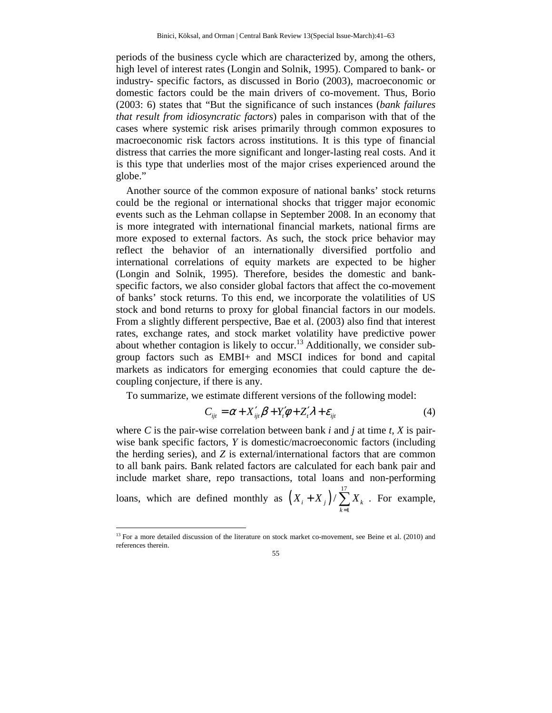periods of the business cycle which are characterized by, among the others, high level of interest rates (Longin and Solnik, 1995). Compared to bank- or industry- specific factors, as discussed in Borio (2003), macroeconomic or domestic factors could be the main drivers of co-movement. Thus, Borio (2003: 6) states that "But the significance of such instances (*bank failures that result from idiosyncratic factors*) pales in comparison with that of the cases where systemic risk arises primarily through common exposures to macroeconomic risk factors across institutions. It is this type of financial distress that carries the more significant and longer-lasting real costs. And it is this type that underlies most of the major crises experienced around the globe."

Another source of the common exposure of national banks' stock returns could be the regional or international shocks that trigger major economic events such as the Lehman collapse in September 2008. In an economy that is more integrated with international financial markets, national firms are more exposed to external factors. As such, the stock price behavior may reflect the behavior of an internationally diversified portfolio and international correlations of equity markets are expected to be higher (Longin and Solnik, 1995). Therefore, besides the domestic and bankspecific factors, we also consider global factors that affect the co-movement of banks' stock returns. To this end, we incorporate the volatilities of US stock and bond returns to proxy for global financial factors in our models. From a slightly different perspective, Bae et al. (2003) also find that interest rates, exchange rates, and stock market volatility have predictive power about whether contagion is likely to occur.<sup>13</sup> Additionally, we consider subgroup factors such as EMBI+ and MSCI indices for bond and capital markets as indicators for emerging economies that could capture the decoupling conjecture, if there is any.

To summarize, we estimate different versions of the following model:

$$
C_{ijt} = \alpha + X'_{ijt}\beta + Y'_t\phi + Z'_t\lambda + \varepsilon_{ijt}
$$
 (4)

where *C* is the pair-wise correlation between bank *i* and *j* at time *t*, *X* is pairwise bank specific factors, *Y* is domestic/macroeconomic factors (including the herding series), and *Z* is external/international factors that are common to all bank pairs. Bank related factors are calculated for each bank pair and include market share, repo transactions, total loans and non-performing

loans, which are defined monthly as  $(X_i + X_j)/\sum^{17}$ 1  $\sum_i$  + X<sub>j</sub>  $\sum$   $\sum$  X<sub>k</sub> *k*  $X_i + X_j$   $\big) / \sum X_i$ =  $+ X_j$ )  $\sum_{k=1}^{N} X_k$ . For example,

l

<sup>&</sup>lt;sup>13</sup> For a more detailed discussion of the literature on stock market co-movement, see Beine et al. (2010) and references therein.

<sup>55</sup>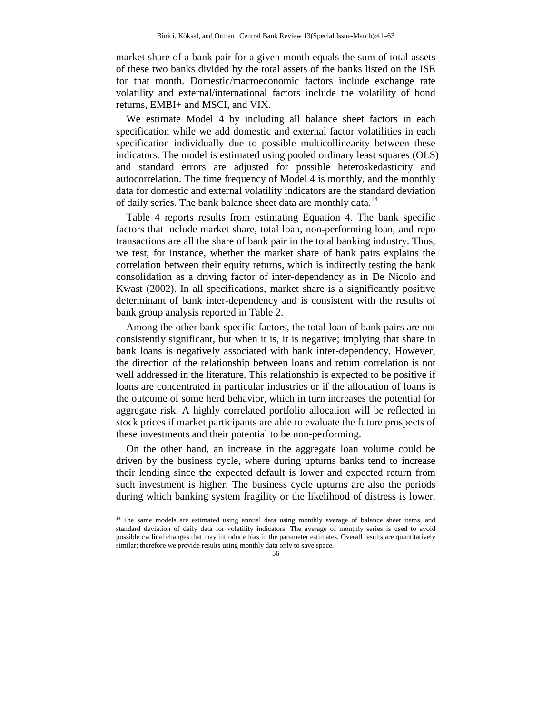market share of a bank pair for a given month equals the sum of total assets of these two banks divided by the total assets of the banks listed on the ISE for that month. Domestic/macroeconomic factors include exchange rate volatility and external/international factors include the volatility of bond returns, EMBI+ and MSCI, and VIX.

We estimate Model 4 by including all balance sheet factors in each specification while we add domestic and external factor volatilities in each specification individually due to possible multicollinearity between these indicators. The model is estimated using pooled ordinary least squares (OLS) and standard errors are adjusted for possible heteroskedasticity and autocorrelation. The time frequency of Model 4 is monthly, and the monthly data for domestic and external volatility indicators are the standard deviation of daily series. The bank balance sheet data are monthly data.<sup>14</sup>

Table 4 reports results from estimating Equation 4. The bank specific factors that include market share, total loan, non-performing loan, and repo transactions are all the share of bank pair in the total banking industry. Thus, we test, for instance, whether the market share of bank pairs explains the correlation between their equity returns, which is indirectly testing the bank consolidation as a driving factor of inter-dependency as in De Nicolo and Kwast (2002). In all specifications, market share is a significantly positive determinant of bank inter-dependency and is consistent with the results of bank group analysis reported in Table 2.

Among the other bank-specific factors, the total loan of bank pairs are not consistently significant, but when it is, it is negative; implying that share in bank loans is negatively associated with bank inter-dependency. However, the direction of the relationship between loans and return correlation is not well addressed in the literature. This relationship is expected to be positive if loans are concentrated in particular industries or if the allocation of loans is the outcome of some herd behavior, which in turn increases the potential for aggregate risk. A highly correlated portfolio allocation will be reflected in stock prices if market participants are able to evaluate the future prospects of these investments and their potential to be non-performing.

On the other hand, an increase in the aggregate loan volume could be driven by the business cycle, where during upturns banks tend to increase their lending since the expected default is lower and expected return from such investment is higher. The business cycle upturns are also the periods during which banking system fragility or the likelihood of distress is lower.

 $\overline{a}$ 

<sup>&</sup>lt;sup>14</sup> The same models are estimated using annual data using monthly average of balance sheet items, and standard deviation of daily data for volatility indicators. The average of monthly series is used to avoid possible cyclical changes that may introduce bias in the parameter estimates. Overall results are quantitatively similar; therefore we provide results using monthly data only to save space.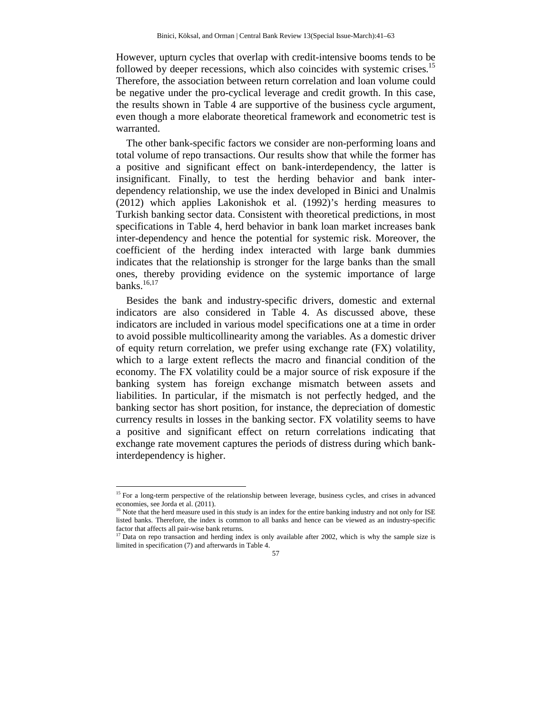However, upturn cycles that overlap with credit-intensive booms tends to be followed by deeper recessions, which also coincides with systemic crises.<sup>15</sup> Therefore, the association between return correlation and loan volume could be negative under the pro-cyclical leverage and credit growth. In this case, the results shown in Table 4 are supportive of the business cycle argument, even though a more elaborate theoretical framework and econometric test is warranted.

The other bank-specific factors we consider are non-performing loans and total volume of repo transactions. Our results show that while the former has a positive and significant effect on bank-interdependency, the latter is insignificant. Finally, to test the herding behavior and bank interdependency relationship, we use the index developed in Binici and Unalmis (2012) which applies Lakonishok et al. (1992)'s herding measures to Turkish banking sector data. Consistent with theoretical predictions, in most specifications in Table 4, herd behavior in bank loan market increases bank inter-dependency and hence the potential for systemic risk. Moreover, the coefficient of the herding index interacted with large bank dummies indicates that the relationship is stronger for the large banks than the small ones, thereby providing evidence on the systemic importance of large banks. $^{16,17}$ 

Besides the bank and industry-specific drivers, domestic and external indicators are also considered in Table 4. As discussed above, these indicators are included in various model specifications one at a time in order to avoid possible multicollinearity among the variables. As a domestic driver of equity return correlation, we prefer using exchange rate (FX) volatility, which to a large extent reflects the macro and financial condition of the economy. The FX volatility could be a major source of risk exposure if the banking system has foreign exchange mismatch between assets and liabilities. In particular, if the mismatch is not perfectly hedged, and the banking sector has short position, for instance, the depreciation of domestic currency results in losses in the banking sector. FX volatility seems to have a positive and significant effect on return correlations indicating that exchange rate movement captures the periods of distress during which bankinterdependency is higher.

l

<sup>&</sup>lt;sup>15</sup> For a long-term perspective of the relationship between leverage, business cycles, and crises in advanced economies, see Jorda et al.  $(2011)$ .

Note that the herd measure used in this study is an index for the entire banking industry and not only for ISE listed banks. Therefore, the index is common to all banks and hence can be viewed as an industry-specific factor that affects all pair-wise bank returns.

 $17$  Data on repo transaction and herding index is only available after 2002, which is why the sample size is limited in specification (7) and afterwards in Table 4.

<sup>57</sup>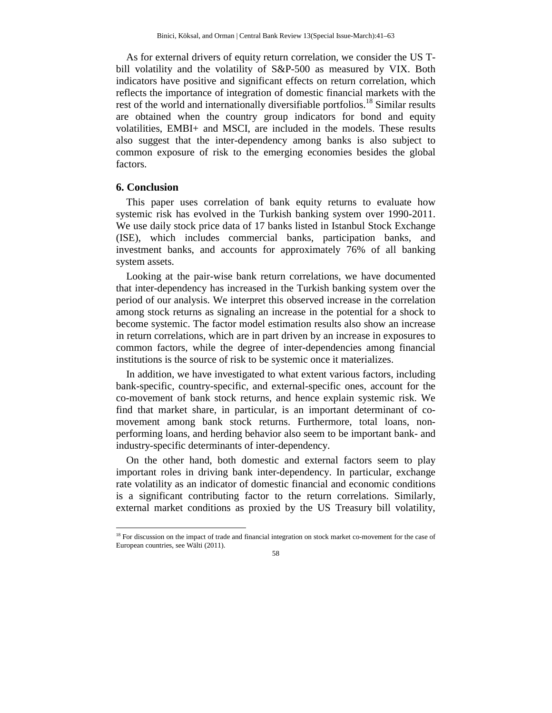As for external drivers of equity return correlation, we consider the US Tbill volatility and the volatility of S&P-500 as measured by VIX. Both indicators have positive and significant effects on return correlation, which reflects the importance of integration of domestic financial markets with the rest of the world and internationally diversifiable portfolios.<sup>18</sup> Similar results are obtained when the country group indicators for bond and equity volatilities, EMBI+ and MSCI, are included in the models. These results also suggest that the inter-dependency among banks is also subject to common exposure of risk to the emerging economies besides the global factors.

# **6. Conclusion**

l

This paper uses correlation of bank equity returns to evaluate how systemic risk has evolved in the Turkish banking system over 1990-2011. We use daily stock price data of 17 banks listed in Istanbul Stock Exchange (ISE), which includes commercial banks, participation banks, and investment banks, and accounts for approximately 76% of all banking system assets.

Looking at the pair-wise bank return correlations, we have documented that inter-dependency has increased in the Turkish banking system over the period of our analysis. We interpret this observed increase in the correlation among stock returns as signaling an increase in the potential for a shock to become systemic. The factor model estimation results also show an increase in return correlations, which are in part driven by an increase in exposures to common factors, while the degree of inter-dependencies among financial institutions is the source of risk to be systemic once it materializes.

In addition, we have investigated to what extent various factors, including bank-specific, country-specific, and external-specific ones, account for the co-movement of bank stock returns, and hence explain systemic risk. We find that market share, in particular, is an important determinant of comovement among bank stock returns. Furthermore, total loans, nonperforming loans, and herding behavior also seem to be important bank- and industry-specific determinants of inter-dependency.

On the other hand, both domestic and external factors seem to play important roles in driving bank inter-dependency. In particular, exchange rate volatility as an indicator of domestic financial and economic conditions is a significant contributing factor to the return correlations. Similarly, external market conditions as proxied by the US Treasury bill volatility,

<sup>&</sup>lt;sup>18</sup> For discussion on the impact of trade and financial integration on stock market co-movement for the case of European countries, see Wälti (2011).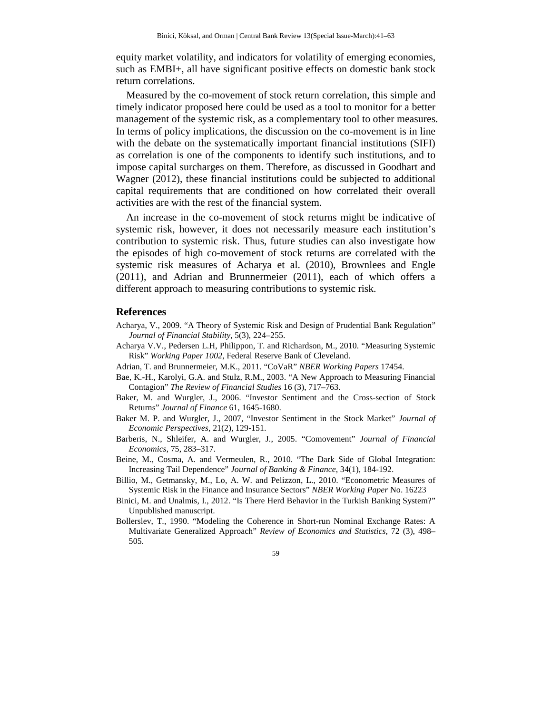equity market volatility, and indicators for volatility of emerging economies, such as EMBI+, all have significant positive effects on domestic bank stock return correlations.

Measured by the co-movement of stock return correlation, this simple and timely indicator proposed here could be used as a tool to monitor for a better management of the systemic risk, as a complementary tool to other measures. In terms of policy implications, the discussion on the co-movement is in line with the debate on the systematically important financial institutions (SIFI) as correlation is one of the components to identify such institutions, and to impose capital surcharges on them. Therefore, as discussed in Goodhart and Wagner (2012), these financial institutions could be subjected to additional capital requirements that are conditioned on how correlated their overall activities are with the rest of the financial system.

An increase in the co-movement of stock returns might be indicative of systemic risk, however, it does not necessarily measure each institution's contribution to systemic risk. Thus, future studies can also investigate how the episodes of high co-movement of stock returns are correlated with the systemic risk measures of Acharya et al. (2010), Brownlees and Engle (2011), and Adrian and Brunnermeier (2011), each of which offers a different approach to measuring contributions to systemic risk.

# **References**

- Acharya, V., 2009. "A Theory of Systemic Risk and Design of Prudential Bank Regulation" *Journal of Financial Stability*, 5(3), 224–255.
- Acharya V.V., Pedersen L.H, Philippon, T. and Richardson, M., 2010. "Measuring Systemic Risk" *Working Paper 1002*, Federal Reserve Bank of Cleveland.
- Adrian, T. and Brunnermeier, M.K., 2011. "CoVaR" *NBER Working Papers* 17454.
- Bae, K.-H., Karolyi, G.A. and Stulz, R.M., 2003. "A New Approach to Measuring Financial Contagion" *The Review of Financial Studies* 16 (3), 717–763.
- Baker, M. and Wurgler, J., 2006. "Investor Sentiment and the Cross-section of Stock Returns" *Journal of Finance* 61, 1645-1680.
- Baker M. P. and Wurgler, J., 2007, "Investor Sentiment in the Stock Market" *Journal of Economic Perspectives*, 21(2), 129-151.
- Barberis, N., Shleifer, A. and Wurgler, J., 2005. "Comovement" *Journal of Financial Economics*, 75, 283–317.
- Beine, M., Cosma, A. and Vermeulen, R., 2010. "The Dark Side of Global Integration: Increasing Tail Dependence" *Journal of Banking & Finance*, 34(1), 184-192.
- Billio, M., Getmansky, M., Lo, A. W. and Pelizzon, L., 2010. "Econometric Measures of Systemic Risk in the Finance and Insurance Sectors" *NBER Working Paper* No. 16223
- Binici, M. and Unalmis, I., 2012. "Is There Herd Behavior in the Turkish Banking System?" Unpublished manuscript.
- Bollerslev, T., 1990. "Modeling the Coherence in Short-run Nominal Exchange Rates: A Multivariate Generalized Approach" *Review of Economics and Statistics*, 72 (3), 498– 505.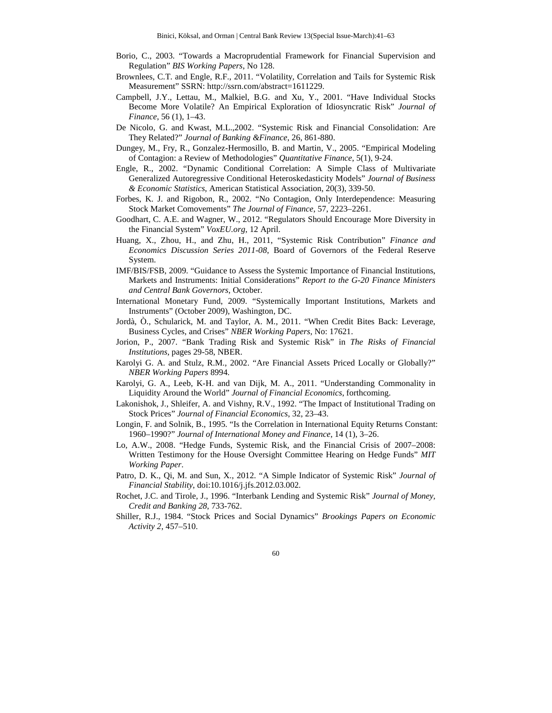- Borio, C., 2003. "Towards a Macroprudential Framework for Financial Supervision and Regulation" *BIS Working Papers*, No 128.
- Brownlees, C.T. and Engle, R.F., 2011. "Volatility, Correlation and Tails for Systemic Risk Measurement" SSRN: http://ssrn.com/abstract=1611229.
- Campbell, J.Y., Lettau, M., Malkiel, B.G. and Xu, Y., 2001. "Have Individual Stocks Become More Volatile? An Empirical Exploration of Idiosyncratic Risk" *Journal of Finance*, 56 (1), 1–43.
- De Nicolo, G. and Kwast, M.L.,2002. "Systemic Risk and Financial Consolidation: Are They Related?" *Journal of Banking &Finance*, 26, 861-880.
- Dungey, M., Fry, R., Gonzalez-Hermosillo, B. and Martin, V., 2005. "Empirical Modeling of Contagion: a Review of Methodologies" *Quantitative Finance*, 5(1), 9-24.
- Engle, R., 2002. "Dynamic Conditional Correlation: A Simple Class of Multivariate Generalized Autoregressive Conditional Heteroskedasticity Models" *Journal of Business & Economic Statistics*, American Statistical Association, 20(3), 339-50.
- Forbes, K. J. and Rigobon, R., 2002. "No Contagion, Only Interdependence: Measuring Stock Market Comovements" *The Journal of Finance*, 57, 2223–2261.
- Goodhart, C. A.E. and Wagner, W., 2012. "Regulators Should Encourage More Diversity in the Financial System" *VoxEU.org*, 12 April.
- Huang, X., Zhou, H., and Zhu, H., 2011, "Systemic Risk Contribution" *Finance and Economics Discussion Series 2011-08*, Board of Governors of the Federal Reserve System.
- IMF/BIS/FSB, 2009. "Guidance to Assess the Systemic Importance of Financial Institutions, Markets and Instruments: Initial Considerations" *Report to the G-20 Finance Ministers and Central Bank Governors*, October.
- International Monetary Fund, 2009. "Systemically Important Institutions, Markets and Instruments" (October 2009), Washington, DC.
- Jordà, Ò., Schularick, M. and Taylor, A. M., 2011. "When Credit Bites Back: Leverage, Business Cycles, and Crises" *NBER Working Papers*, No: 17621.
- Jorion, P., 2007. "Bank Trading Risk and Systemic Risk" in *The Risks of Financial Institutions*, pages 29-58, NBER.
- Karolyi G. A. and Stulz, R.M., 2002. "Are Financial Assets Priced Locally or Globally?" *NBER Working Papers* 8994.
- Karolyi, G. A., Leeb, K-H. and van Dijk, M. A., 2011. "Understanding Commonality in Liquidity Around the World" *Journal of Financial Economics*, forthcoming.
- Lakonishok, J., Shleifer, A. and Vishny, R.V., 1992. "The Impact of Institutional Trading on Stock Prices" *Journal of Financial Economics*, 32, 23–43.
- Longin, F. and Solnik, B., 1995. "Is the Correlation in International Equity Returns Constant: 1960–1990?" *Journal of International Money and Finance*, 14 (1), 3–26.
- Lo, A.W., 2008. "Hedge Funds, Systemic Risk, and the Financial Crisis of 2007–2008: Written Testimony for the House Oversight Committee Hearing on Hedge Funds" *MIT Working Paper*.
- Patro, D. K., Qi, M. and Sun, X., 2012. "A Simple Indicator of Systemic Risk" *Journal of Financial Stability*, doi:10.1016/j.jfs.2012.03.002.
- Rochet, J.C. and Tirole, J., 1996. "Interbank Lending and Systemic Risk" *Journal of Money, Credit and Banking 28*, 733-762.
- Shiller, R.J., 1984. "Stock Prices and Social Dynamics" *Brookings Papers on Economic Activity 2*, 457–510.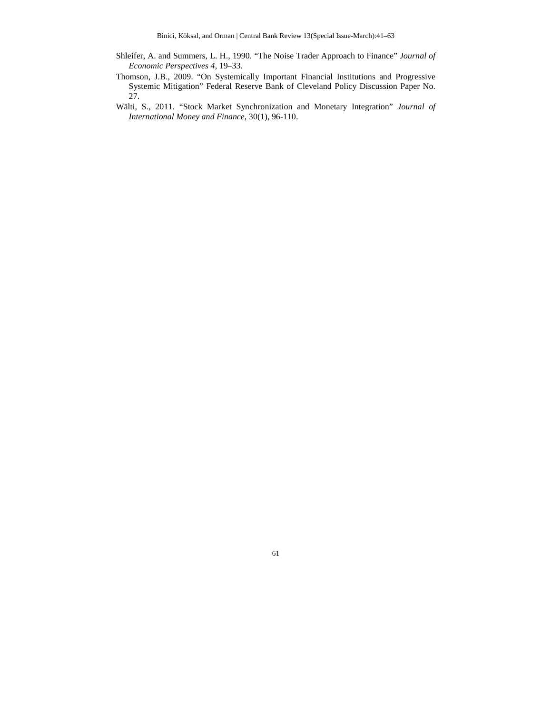- Shleifer, A. and Summers, L. H., 1990. "The Noise Trader Approach to Finance" *Journal of Economic Perspectives 4*, 19–33.
- Thomson, J.B., 2009. "On Systemically Important Financial Institutions and Progressive Systemic Mitigation" Federal Reserve Bank of Cleveland Policy Discussion Paper No. 27.
- Wälti, S., 2011. "Stock Market Synchronization and Monetary Integration" *Journal of International Money and Finance*, 30(1), 96-110.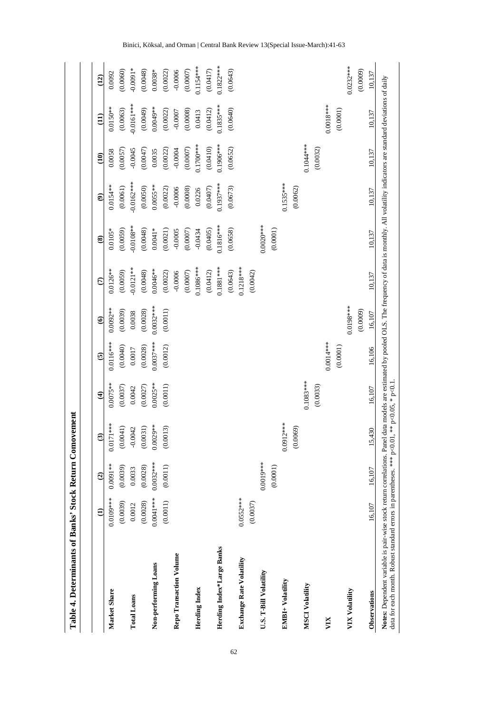|                           | $\widehat{e}$ | $\widehat{c}$ | $\widehat{\mathbf{C}}$ | $\widehat{\mathbf{t}}$ | $\mathbf{G}$ | $\widehat{\mathbf{e}}$ | $\widehat{c}$ | $\circledast$ | $\widehat{\mathbf{e}}$ | $\widehat{E}$ | $\widehat{\Xi}$ | $\overline{12}$ |
|---------------------------|---------------|---------------|------------------------|------------------------|--------------|------------------------|---------------|---------------|------------------------|---------------|-----------------|-----------------|
| Market Share              | 0.0109***     | $0.0091**$    | $0.0171***$            | $0.0075**$             | $0.0116***$  | $0.0092**$             | $0.0126**$    | $0.0105*$     | $0.0154***$            | 0.0058        | $0.0150***$     | 0.0092          |
|                           | (0.0039)      | (0.0039)      | (0.0041)               | (0.0037)               | (0.0040)     | (0.0039)               | (0.0059)      | (0.0059)      | (0.0061)               | (0.0057)      | (0.0063)        | (0.0060)        |
| <b>Total Loans</b>        | 0.0012        | 0.0033        | $-0.0042$              | 0.0042                 | 0.0017       | 0.0038                 | $-0.0121**$   | $-0.0108**$   | $-0.0162***$           | $-0.0045$     | $0.0161***$     | $-0.0091*$      |
|                           | (0.0028)      | (0.0028)      | (0.0031)               | (0.0027)               | (0.0028)     | (0.0028)               | (0.0048)      | (0.0048)      | (0.0050)               | (0.0047)      | (0.0049)        | (0.0048)        |
| Non-performing Loans      | $0.0041***$   | 0.0032****    | 0.0029**               | $0.0025***$            | $0.0037***$  | $0.0032***$            | $0.0046**$    | $0.0041*$     | $0.0055***$            | 0.0035        | $0.0049***$     | $0.0038*$       |
|                           | (0.0011)      | (0.0011)      | (0.0013)               | (0.0011)               | (0.0012)     | (0.0011)               | (0.0022)      | (0.0021)      | (0.0022)               | (0.0022)      | (0.0022)        | (0.0022)        |
| Repo Transaction Volume   |               |               |                        |                        |              |                        | $-0.0006$     | $-0.0005$     | $-0.0006$              | $-0.0004$     | $-0.0007$       | $-0.0006$       |
|                           |               |               |                        |                        |              |                        | (0.0007)      | (0.0007)      | (0.0008)               | (0.0007)      | (0.0008)        | (0.0007)        |
| Herding Index             |               |               |                        |                        |              |                        | $0.1086***$   | $-0.0434$     | 0.0226                 | $0.1700$ **   | 0.0413          | $0.1154***$     |
|                           |               |               |                        |                        |              |                        | (0.0412)      | (0.0405)      | (0.0407)               | (0.0410)      | (0.0412)        | (0.0417)        |
| Herding Index*Large Banks |               |               |                        |                        |              |                        | $0.1881***$   | $0.1816***$   | $0.1937***$            | $0.1906***$   | $0.1835***$     | 0.1822 ***      |
|                           |               |               |                        |                        |              |                        | (0.0643)      | (0.0658)      | (0.0673)               | (0.0652)      | (0.0640)        | (0.0643)        |
| Exchange Rate Volatility  | $0.0552***$   |               |                        |                        |              |                        | $0.1218***$   |               |                        |               |                 |                 |
|                           | (0.0037)      |               |                        |                        |              |                        | (0.0042)      |               |                        |               |                 |                 |
| U.S. T-Bill Volatility    |               | $0.0019***$   |                        |                        |              |                        |               | $0.0020***$   |                        |               |                 |                 |
|                           |               | (0.0001)      |                        |                        |              |                        |               | (0.0001)      |                        |               |                 |                 |
| EMBI+ Volatility          |               |               | $0.0912***$            |                        |              |                        |               |               | $0.1535***$            |               |                 |                 |
|                           |               |               | (0.0069)               |                        |              |                        |               |               | (0.0062)               |               |                 |                 |
| MSCI Volatility           |               |               |                        | $0.1083***$            |              |                        |               |               |                        | 0.1044 ***    |                 |                 |
|                           |               |               |                        | (0.0033)               |              |                        |               |               |                        | (0.0032)      |                 |                 |
| VIX                       |               |               |                        |                        | $0.0014***$  |                        |               |               |                        |               | $0.0018***$     |                 |
|                           |               |               |                        |                        | (0.0001)     |                        |               |               |                        |               | (0.0001)        |                 |
| VIX Volatility            |               |               |                        |                        |              | $0.0198***$            |               |               |                        |               |                 | $0.0232***$     |
|                           |               |               |                        |                        |              | (0.0009)               |               |               |                        |               |                 | (0.0009)        |
| Observations              | 16,107        | 16,107        | 5,430                  | 16,107                 | 16,106       | 16,107                 | 10,137        | 10,137        | 10,137                 | 10,137        | 10,137          | 10,137          |

Binici, Köksal, and Orman | Central Bank Review 13(Special Issue-March):41-63